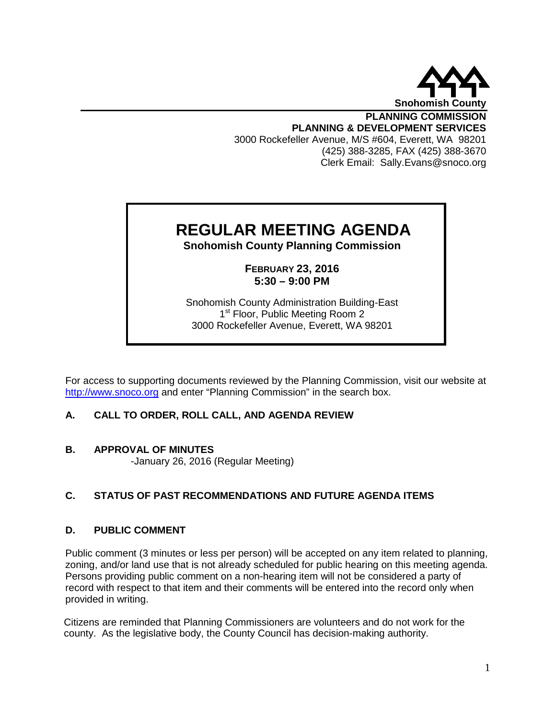

**PLANNING COMMISSION PLANNING & DEVELOPMENT SERVICES** 3000 Rockefeller Avenue, M/S #604, Everett, WA 98201 (425) 388-3285, FAX (425) 388-3670 Clerk Email: Sally.Evans@snoco.org

# **REGULAR MEETING AGENDA**

**Snohomish County Planning Commission**

**FEBRUARY 23, 2016 5:30 – 9:00 PM**

Snohomish County Administration Building-East 1<sup>st</sup> Floor, Public Meeting Room 2 3000 Rockefeller Avenue, Everett, WA 98201

For access to supporting documents reviewed by the Planning Commission, visit our website at [http://www.snoco.org](http://www.snoco.org/) and enter "Planning Commission" in the search box.

# **A. CALL TO ORDER, ROLL CALL, AND AGENDA REVIEW**

# **B. APPROVAL OF MINUTES**

-January 26, 2016 (Regular Meeting)

# **C. STATUS OF PAST RECOMMENDATIONS AND FUTURE AGENDA ITEMS**

# **D. PUBLIC COMMENT**

Public comment (3 minutes or less per person) will be accepted on any item related to planning, zoning, and/or land use that is not already scheduled for public hearing on this meeting agenda. Persons providing public comment on a non-hearing item will not be considered a party of record with respect to that item and their comments will be entered into the record only when provided in writing.

Citizens are reminded that Planning Commissioners are volunteers and do not work for the county. As the legislative body, the County Council has decision-making authority.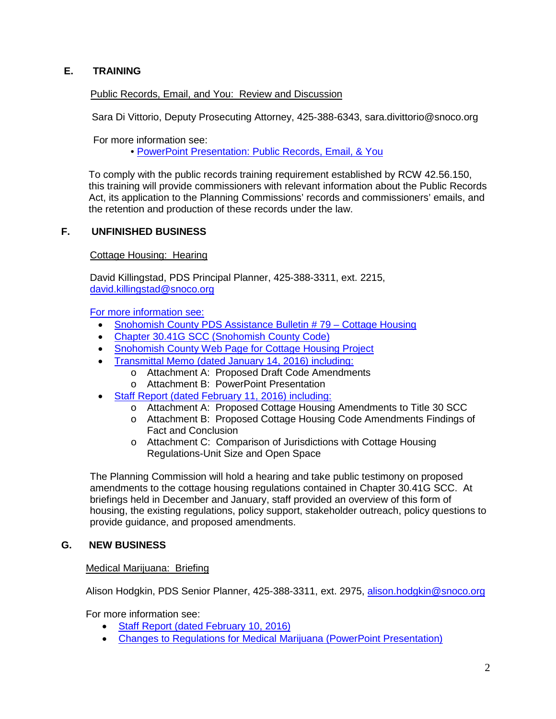# **E. TRAINING**

# Public Records, Email, and You: Review and Discussion

Sara Di Vittorio, Deputy Prosecuting Attorney, 425-388-6343, sara.divittorio@snoco.org

For more information see:

• [PowerPoint Presentation: Public Records, Email, & You](http://www.snohomishcountywa.gov/DocumentCenter/View/31845)

 To comply with the public records training requirement established by RCW 42.56.150, this training will provide commissioners with relevant information about the Public Records Act, its application to the Planning Commissions' records and commissioners' emails, and the retention and production of these records under the law.

# **F. UNFINISHED BUSINESS**

#### Cottage Housing: Hearing

David Killingstad, PDS Principal Planner, 425-388-3311, ext. 2215, [david.killingstad@snoco.org](mailto:david.killingstad@snoco.org)

For more information see:

- Snohomish County PDS Assistance Bulletin #79 Cottage Housing
- [Chapter 30.41G SCC \(Snohomish County Code\)](http://www.codepublishing.com/wa/snohomishcounty/html/snohomishcounty30/SnohomishCounty3041G.html#31.41G.010)
- [Snohomish County Web Page for Cottage Housing Project](http://snohomishcountywa.gov/3461/Cottage-Housing)
- [Transmittal Memo \(dated January 14, 2016\) including:](http://www.snohomishcountywa.gov/DocumentCenter/View/30950)
	- o Attachment A: Proposed Draft Code Amendments
	- o Attachment B: PowerPoint Presentation
- [Staff Report \(dated February 11, 2016\) including:](http://www.snohomishcountywa.gov/DocumentCenter/View/31860)
	- o Attachment A: Proposed Cottage Housing Amendments to Title 30 SCC
	- o Attachment B: Proposed Cottage Housing Code Amendments Findings of Fact and Conclusion
	- o Attachment C: Comparison of Jurisdictions with Cottage Housing Regulations-Unit Size and Open Space

The Planning Commission will hold a hearing and take public testimony on proposed amendments to the cottage housing regulations contained in Chapter 30.41G SCC. At briefings held in December and January, staff provided an overview of this form of housing, the existing regulations, policy support, stakeholder outreach, policy questions to provide guidance, and proposed amendments.

# **G. NEW BUSINESS**

#### Medical Marijuana: Briefing

Alison Hodgkin, PDS Senior Planner, 425-388-3311, ext. 2975, [alison.hodgkin@snoco.org](mailto:alison.hodgkin@snoco.org)

For more information see:

- [Staff Report \(dated February 10, 2016\)](http://www.snohomishcountywa.gov/DocumentCenter/View/31831)
- [Changes to Regulations for Medical Marijuana \(PowerPoint Presentation\)](http://www.snohomishcountywa.gov/DocumentCenter/View/31832)